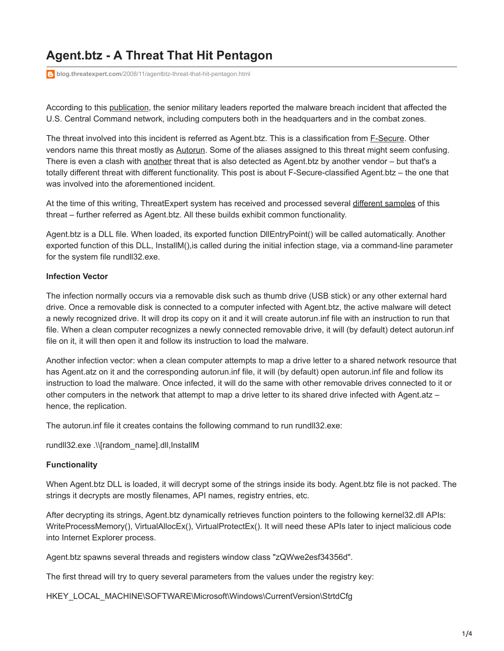# **Agent.btz - A Threat That Hit Pentagon**

**blog.threatexpert.com**[/2008/11/agentbtz-threat-that-hit-pentagon.html](http://blog.threatexpert.com/2008/11/agentbtz-threat-that-hit-pentagon.html)

According to this [publication,](http://www.latimes.com/news/printedition/front/la-na-cyberattack28-2008nov28,0,1970897.story) the senior military leaders reported the malware breach incident that affected the U.S. Central Command network, including computers both in the headquarters and in the combat zones.

The threat involved into this incident is referred as Agent.btz. This is a classification from [F-Secure](http://www.f-secure.com/v-descs/worm_w32_agent_btz.shtml). Other vendors name this threat mostly as [Autorun](http://vil.nai.com/vil/content/v_149448.htm). Some of the aliases assigned to this threat might seem confusing. There is even a clash with [another](http://www.threatexpert.com/report.aspx?md5=b1009c175ed7ecdb132318840fd4ef3c) threat that is also detected as Agent.btz by another vendor – but that's a totally different threat with different functionality. This post is about F-Secure-classified Agent.btz – the one that was involved into the aforementioned incident.

At the time of this writing, ThreatExpert system has received and processed several [different samples](http://www.threatexpert.com/reports.aspx?find=update/img0008/) of this threat – further referred as Agent.btz. All these builds exhibit common functionality.

Agent.btz is a DLL file. When loaded, its exported function DllEntryPoint() will be called automatically. Another exported function of this DLL, InstallM(),is called during the initial infection stage, via a command-line parameter for the system file rundll32.exe.

#### **Infection Vector**

The infection normally occurs via a removable disk such as thumb drive (USB stick) or any other external hard drive. Once a removable disk is connected to a computer infected with Agent.btz, the active malware will detect a newly recognized drive. It will drop its copy on it and it will create autorun.inf file with an instruction to run that file. When a clean computer recognizes a newly connected removable drive, it will (by default) detect autorun.inf file on it, it will then open it and follow its instruction to load the malware.

Another infection vector: when a clean computer attempts to map a drive letter to a shared network resource that has Agent.atz on it and the corresponding autorun.inf file, it will (by default) open autorun.inf file and follow its instruction to load the malware. Once infected, it will do the same with other removable drives connected to it or other computers in the network that attempt to map a drive letter to its shared drive infected with Agent.atz – hence, the replication.

The autorun.inf file it creates contains the following command to run rundll32.exe:

rundll32.exe .\\[random\_name].dll,InstallM

#### **Functionality**

When Agent.btz DLL is loaded, it will decrypt some of the strings inside its body. Agent.btz file is not packed. The strings it decrypts are mostly filenames, API names, registry entries, etc.

After decrypting its strings, Agent.btz dynamically retrieves function pointers to the following kernel32.dll APIs: WriteProcessMemory(), VirtualAllocEx(), VirtualProtectEx(). It will need these APIs later to inject malicious code into Internet Explorer process.

Agent.btz spawns several threads and registers window class "zQWwe2esf34356d".

The first thread will try to query several parameters from the values under the registry key:

HKEY\_LOCAL\_MACHINE\SOFTWARE\Microsoft\Windows\CurrentVersion\StrtdCfg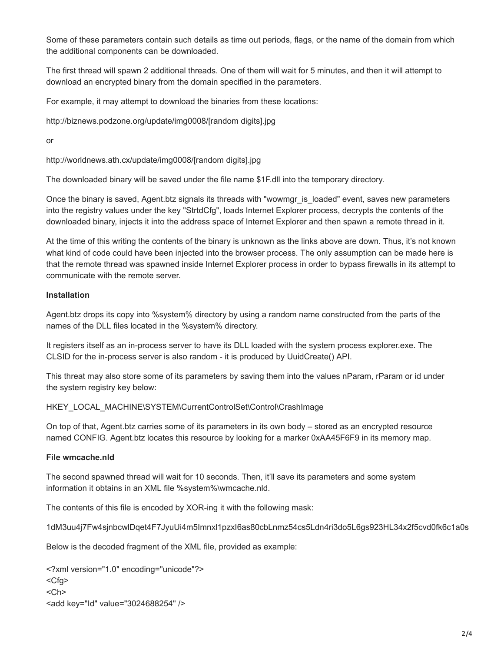Some of these parameters contain such details as time out periods, flags, or the name of the domain from which the additional components can be downloaded.

The first thread will spawn 2 additional threads. One of them will wait for 5 minutes, and then it will attempt to download an encrypted binary from the domain specified in the parameters.

For example, it may attempt to download the binaries from these locations:

http://biznews.podzone.org/update/img0008/[random digits].jpg

or

http://worldnews.ath.cx/update/img0008/[random digits].jpg

The downloaded binary will be saved under the file name \$1F.dll into the temporary directory.

Once the binary is saved, Agent.btz signals its threads with "wowmgr\_is\_loaded" event, saves new parameters into the registry values under the key "StrtdCfg", loads Internet Explorer process, decrypts the contents of the downloaded binary, injects it into the address space of Internet Explorer and then spawn a remote thread in it.

At the time of this writing the contents of the binary is unknown as the links above are down. Thus, it's not known what kind of code could have been injected into the browser process. The only assumption can be made here is that the remote thread was spawned inside Internet Explorer process in order to bypass firewalls in its attempt to communicate with the remote server.

#### **Installation**

Agent.btz drops its copy into %system% directory by using a random name constructed from the parts of the names of the DLL files located in the %system% directory.

It registers itself as an in-process server to have its DLL loaded with the system process explorer.exe. The CLSID for the in-process server is also random - it is produced by UuidCreate() API.

This threat may also store some of its parameters by saving them into the values nParam, rParam or id under the system registry key below:

HKEY\_LOCAL\_MACHINE\SYSTEM\CurrentControlSet\Control\CrashImage

On top of that, Agent.btz carries some of its parameters in its own body – stored as an encrypted resource named CONFIG. Agent.btz locates this resource by looking for a marker 0xAA45F6F9 in its memory map.

#### **File wmcache.nld**

The second spawned thread will wait for 10 seconds. Then, it'll save its parameters and some system information it obtains in an XML file %system%\wmcache.nld.

The contents of this file is encoded by XOR-ing it with the following mask:

1dM3uu4j7Fw4sjnbcwlDqet4F7JyuUi4m5Imnxl1pzxI6as80cbLnmz54cs5Ldn4ri3do5L6gs923HL34x2f5cvd0fk6c1a0s

Below is the decoded fragment of the XML file, provided as example:

<?xml version="1.0" encoding="unicode"?> <Cfg> <Ch> <add key="Id" value="3024688254" />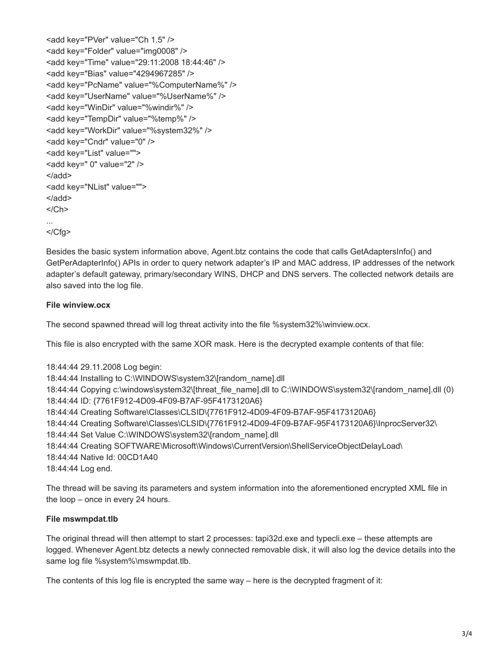<add key="PVer" value="Ch 1.5" /> <add key="Folder" value="img0008" /> <add key="Time" value="29:11:2008 18:44:46" /> <add key="Bias" value="4294967285" /> <add key="PcName" value="%ComputerName%" /> <add key="UserName" value="%UserName%" /> <add key="WinDir" value="%windir%" /> <add key="TempDir" value="%temp%" /> <add key="WorkDir" value="%system32%" /> <add key="Cndr" value="0" /> <add key="List" value="">  $\leq$ add key=" 0" value="2" /> </add> <add key="NList" value=""> </add>  $<$ / $Ch$ > ...

```
</Cfg>
```
Besides the basic system information above, Agent.btz contains the code that calls GetAdaptersInfo() and GetPerAdapterInfo() APIs in order to query network adapter's IP and MAC address, IP addresses of the network adapter's default gateway, primary/secondary WINS, DHCP and DNS servers. The collected network details are also saved into the log file.

## **File winview.ocx**

The second spawned thread will log threat activity into the file %system32%\winview.ocx.

This file is also encrypted with the same XOR mask. Here is the decrypted example contents of that file:

18:44:44 29.11.2008 Log begin: 18:44:44 Installing to C:\WINDOWS\system32\[random\_name].dll 18:44:44 Copying c:\windows\system32\[threat\_file\_name].dll to C:\WINDOWS\system32\[random\_name].dll (0) 18:44:44 ID: {7761F912-4D09-4F09-B7AF-95F4173120A6} 18:44:44 Creating Software\Classes\CLSID\{7761F912-4D09-4F09-B7AF-95F4173120A6} 18:44:44 Creating Software\Classes\CLSID\{7761F912-4D09-4F09-B7AF-95F4173120A6}\InprocServer32\ 18:44:44 Set Value C:\WINDOWS\system32\[random\_name].dll 18:44:44 Creating SOFTWARE\Microsoft\Windows\CurrentVersion\ShellServiceObjectDelayLoad\ 18:44:44 Native Id: 00CD1A40 18:44:44 Log end.

The thread will be saving its parameters and system information into the aforementioned encrypted XML file in the loop – once in every 24 hours.

## **File mswmpdat.tlb**

The original thread will then attempt to start 2 processes: tapi32d.exe and typecli.exe – these attempts are logged. Whenever Agent.btz detects a newly connected removable disk, it will also log the device details into the same log file %system%\mswmpdat.tlb.

The contents of this log file is encrypted the same way – here is the decrypted fragment of it: